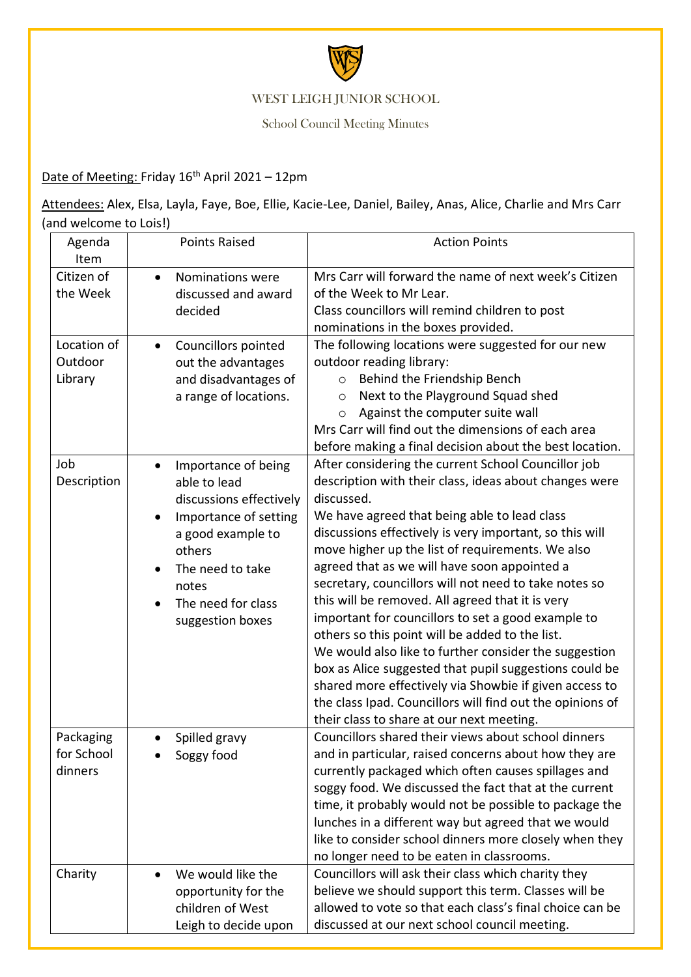

## WEST LEIGH JUNIOR SCHOOL

School Council Meeting Minutes

## Date of Meeting: Friday 16<sup>th</sup> April 2021 - 12pm

Attendees: Alex, Elsa, Layla, Faye, Boe, Ellie, Kacie-Lee, Daniel, Bailey, Anas, Alice, Charlie and Mrs Carr (and welcome to Lois!)

| Agenda<br>Item                     | <b>Points Raised</b>                                                                                                                                                                          | <b>Action Points</b>                                                                                                                                                                                                                                                                                                                                                                                                                                                                                                                                                                                                                                                                                                                                                                                                                                    |
|------------------------------------|-----------------------------------------------------------------------------------------------------------------------------------------------------------------------------------------------|---------------------------------------------------------------------------------------------------------------------------------------------------------------------------------------------------------------------------------------------------------------------------------------------------------------------------------------------------------------------------------------------------------------------------------------------------------------------------------------------------------------------------------------------------------------------------------------------------------------------------------------------------------------------------------------------------------------------------------------------------------------------------------------------------------------------------------------------------------|
| Citizen of<br>the Week             | Nominations were<br>$\bullet$<br>discussed and award<br>decided                                                                                                                               | Mrs Carr will forward the name of next week's Citizen<br>of the Week to Mr Lear.<br>Class councillors will remind children to post<br>nominations in the boxes provided.                                                                                                                                                                                                                                                                                                                                                                                                                                                                                                                                                                                                                                                                                |
| Location of<br>Outdoor<br>Library  | Councillors pointed<br>$\bullet$<br>out the advantages<br>and disadvantages of<br>a range of locations.                                                                                       | The following locations were suggested for our new<br>outdoor reading library:<br>Behind the Friendship Bench<br>$\circ$<br>Next to the Playground Squad shed<br>$\circ$<br>Against the computer suite wall<br>$\circ$<br>Mrs Carr will find out the dimensions of each area<br>before making a final decision about the best location.                                                                                                                                                                                                                                                                                                                                                                                                                                                                                                                 |
| Job<br>Description                 | Importance of being<br>able to lead<br>discussions effectively<br>Importance of setting<br>a good example to<br>others<br>The need to take<br>notes<br>The need for class<br>suggestion boxes | After considering the current School Councillor job<br>description with their class, ideas about changes were<br>discussed.<br>We have agreed that being able to lead class<br>discussions effectively is very important, so this will<br>move higher up the list of requirements. We also<br>agreed that as we will have soon appointed a<br>secretary, councillors will not need to take notes so<br>this will be removed. All agreed that it is very<br>important for councillors to set a good example to<br>others so this point will be added to the list.<br>We would also like to further consider the suggestion<br>box as Alice suggested that pupil suggestions could be<br>shared more effectively via Showbie if given access to<br>the class Ipad. Councillors will find out the opinions of<br>their class to share at our next meeting. |
| Packaging<br>for School<br>dinners | Spilled gravy<br>Soggy food                                                                                                                                                                   | Councillors shared their views about school dinners<br>and in particular, raised concerns about how they are<br>currently packaged which often causes spillages and<br>soggy food. We discussed the fact that at the current<br>time, it probably would not be possible to package the<br>lunches in a different way but agreed that we would<br>like to consider school dinners more closely when they<br>no longer need to be eaten in classrooms.                                                                                                                                                                                                                                                                                                                                                                                                    |
| Charity                            | We would like the<br>opportunity for the<br>children of West<br>Leigh to decide upon                                                                                                          | Councillors will ask their class which charity they<br>believe we should support this term. Classes will be<br>allowed to vote so that each class's final choice can be<br>discussed at our next school council meeting.                                                                                                                                                                                                                                                                                                                                                                                                                                                                                                                                                                                                                                |